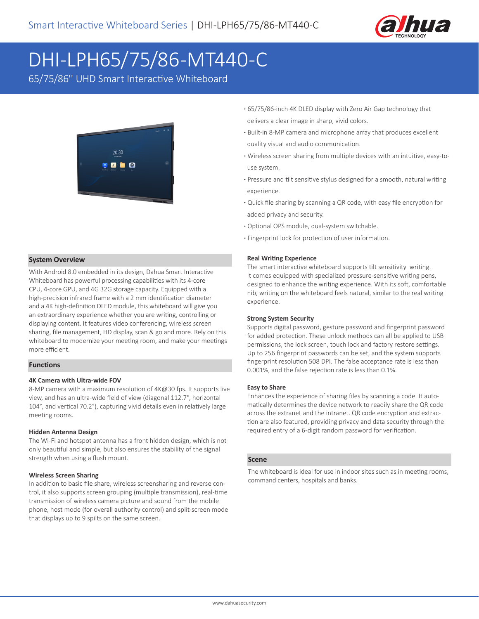

# DHI-LPH65/75/86-MT440-C

65/75/86'' UHD Smart Interactive Whiteboard



#### **System Overview**

With Android 8.0 embedded in its design, Dahua Smart Interactive Whiteboard has powerful processing capabilities with its 4-core CPU, 4-core GPU, and 4G 32G storage capacity. Equipped with a high-precision infrared frame with a 2 mm identification diameter and a 4K high-definition DLED module, this whiteboard will give you an extraordinary experience whether you are writing, controlling or displaying content. It features video conferencing, wireless screen sharing, file management, HD display, scan & go and more. Rely on this whiteboard to modernize your meeting room, and make your meetings more efficient.

#### **Functions**

#### **4K Camera with Ultra-wide FOV**

8-MP camera with a maximum resolution of 4K@30 fps. It supports live view, and has an ultra-wide field of view (diagonal 112.7°, horizontal 104°, and vertical 70.2°), capturing vivid details even in relatively large meeting rooms.

#### **Hidden Antenna Design**

The Wi-Fi and hotspot antenna has a front hidden design, which is not only beautiful and simple, but also ensures the stability of the signal strength when using a flush mount.

#### **Wireless Screen Sharing**

In addition to basic file share, wireless screensharing and reverse control, it also supports screen grouping (multiple transmission), real-time transmission of wireless camera picture and sound from the mobile phone, host mode (for overall authority control) and split-screen mode that displays up to 9 spilts on the same screen.

- **·** 65/75/86-inch 4K DLED display with Zero Air Gap technology that delivers a clear image in sharp, vivid colors.
- **·** Built-in 8-MP camera and microphone array that produces excellent quality visual and audio communication.
- **·** Wireless screen sharing from multiple devices with an intuitive, easy-to use system.
- **·** Pressure and tilt sensitive stylus designed for a smooth, natural writing experience.
- **·** Quick file sharing by scanning a QR code, with easy file encryption for added privacy and security.
- **·** Optional OPS module, dual-system switchable.
- **·** Fingerprint lock for protection of user information.

#### **Real Writing Experience**

The smart interactive whiteboard supports tilt sensitivity writing. It comes equipped with specialized pressure-sensitive writing pens, designed to enhance the writing experience. With its soft, comfortable nib, writing on the whiteboard feels natural, similar to the real writing experience.

#### **Strong System Security**

Supports digital password, gesture password and fingerprint password for added protection. These unlock methods can all be applied to USB permissions, the lock screen, touch lock and factory restore settings. Up to 256 fingerprint passwords can be set, and the system supports fingerprint resolution 508 DPI. The false acceptance rate is less than 0.001%, and the false rejection rate is less than 0.1%.

#### **Easy to Share**

Enhances the experience of sharing files by scanning a code. It automatically determines the device network to readily share the QR code across the extranet and the intranet. QR code encryption and extraction are also featured, providing privacy and data security through the required entry of a 6-digit random password for verification.

#### **Scene**

The whiteboard is ideal for use in indoor sites such as in meeting rooms, command centers, hospitals and banks.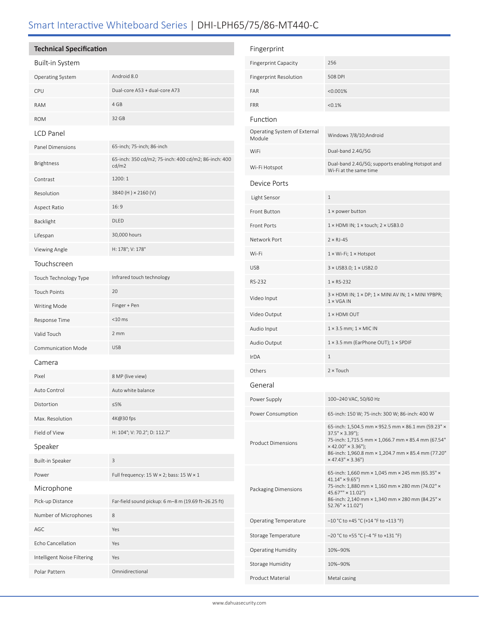# Smart Interactive Whiteboard Series | DHI-LPH65/75/86-MT440-C

## **Technical Specification**

### Built-in System

| Dunchi Jyuchii              |                                                               |                          |
|-----------------------------|---------------------------------------------------------------|--------------------------|
| Operating System            | Android 8.0                                                   | Fingerprint Re           |
| CPU                         | Dual-core A53 + dual-core A73                                 | FAR                      |
| <b>RAM</b>                  | 4 GB                                                          | <b>FRR</b>               |
| <b>ROM</b>                  | 32 GB                                                         | Function                 |
| LCD Panel                   |                                                               | Operating Syst<br>Module |
| Panel Dimensions            | 65-inch; 75-inch; 86-inch                                     | WiFi                     |
| <b>Brightness</b>           | 65-inch: 350 cd/m2; 75-inch: 400 cd/m2; 86-inch: 400<br>cd/m2 | Wi-Fi Hotspot            |
| Contrast                    | 1200:1                                                        | Device Por               |
| Resolution                  | 3840 (H) × 2160 (V)                                           | Light Sensor             |
| Aspect Ratio                | 16:9                                                          | Front Button             |
| Backlight                   | DLED                                                          | Front Ports              |
| Lifespan                    | 30,000 hours                                                  | Network Port             |
| Viewing Angle               | H: 178°; V: 178°                                              | Wi-Fi                    |
| Touchscreen                 |                                                               | <b>USB</b>               |
| Touch Technology Type       | Infrared touch technology                                     | RS-232                   |
| <b>Touch Points</b>         | 20                                                            |                          |
| <b>Writing Mode</b>         | Finger + Pen                                                  | Video Input              |
| Response Time               | $<$ 10 $\,$ ms                                                | Video Output             |
| Valid Touch                 | 2mm                                                           | Audio Input              |
| Communication Mode          | <b>USB</b>                                                    | Audio Output             |
| Camera                      |                                                               | IrDA                     |
| Pixel                       | 8 MP (live view)                                              | Others                   |
| Auto Control                | Auto white balance                                            | General                  |
| Distortion                  | $\leq 5\%$                                                    | Power Supply             |
| Max. Resolution             | 4K@30 fps                                                     | Power Consun             |
| Field of View               | H: 104°; V: 70.2°; D: 112.7°                                  |                          |
| Speaker                     |                                                               | Product Dimer            |
| Built-in Speaker            | 3                                                             |                          |
| Power                       | Full frequency: 15 W $\times$ 2; bass: 15 W $\times$ 1        |                          |
| Microphone                  |                                                               | Packaging Dim            |
| Pick-up Distance            | Far-field sound pickup: 6 m-8 m (19.69 ft-26.25 ft)           |                          |
| Number of Microphones       | 8                                                             |                          |
| AGC                         | Yes                                                           | Operating Tem            |
| Echo Cancellation           | Yes                                                           | Storage Temp             |
| Intelligent Noise Filtering | Yes                                                           | <b>Operating Hur</b>     |
| Polar Pattern               | Omnidirectional                                               | Storage Humid            |

| Fingerprint                            |                                                                                                                                                                                                                                       |
|----------------------------------------|---------------------------------------------------------------------------------------------------------------------------------------------------------------------------------------------------------------------------------------|
| <b>Fingerprint Capacity</b>            | 256                                                                                                                                                                                                                                   |
| Fingerprint Resolution                 | <b>508 DPI</b>                                                                                                                                                                                                                        |
| <b>FAR</b>                             | < 0.001%                                                                                                                                                                                                                              |
| <b>FRR</b>                             | < 0.1%                                                                                                                                                                                                                                |
| Function                               |                                                                                                                                                                                                                                       |
| Operating System of External<br>Module | Windows 7/8/10; Android                                                                                                                                                                                                               |
| WiFi                                   | Dual-band 2.4G/5G                                                                                                                                                                                                                     |
| Wi-Fi Hotspot                          | Dual-band 2.4G/5G; supports enabling Hotspot and<br>Wi-Fi at the same time                                                                                                                                                            |
| Device Ports                           |                                                                                                                                                                                                                                       |
| Light Sensor                           | $\mathbf{1}$                                                                                                                                                                                                                          |
| Front Button                           | $1 \times power$ button                                                                                                                                                                                                               |
| <b>Front Ports</b>                     | $1 \times$ HDMI IN; $1 \times$ touch; $2 \times$ USB3.0                                                                                                                                                                               |
| Network Port                           | $2 \times RJ - 45$                                                                                                                                                                                                                    |
| Wi-Fi                                  | $1 \times Wi$ -Fi; $1 \times Hotspot$                                                                                                                                                                                                 |
| <b>USB</b>                             | 3 × USB3.0; 1 × USB2.0                                                                                                                                                                                                                |
| RS-232                                 | $1 \times$ RS-232                                                                                                                                                                                                                     |
| Video Input                            | $3 \times$ HDMI IN; $1 \times$ DP; $1 \times$ MINI AV IN; $1 \times$ MINI YPBPR;<br>$1 \times VGA IN$                                                                                                                                 |
| Video Output                           | $1 \times$ HDMI OUT                                                                                                                                                                                                                   |
| Audio Input                            | $1 \times 3.5$ mm; $1 \times$ MIC IN                                                                                                                                                                                                  |
| Audio Output                           | $1 \times 3.5$ mm (EarPhone OUT); $1 \times$ SPDIF                                                                                                                                                                                    |
| <b>IrDA</b>                            | $\mathbf{1}$                                                                                                                                                                                                                          |
| Others                                 | $2 \times$ Touch                                                                                                                                                                                                                      |
| General                                |                                                                                                                                                                                                                                       |
| Power Supply                           | 100-240 VAC, 50/60 Hz                                                                                                                                                                                                                 |
| Power Consumption                      | 65-inch: 150 W; 75-inch: 300 W; 86-inch: 400 W                                                                                                                                                                                        |
| <b>Product Dimensions</b>              | 65-inch: 1,504.5 mm × 952.5 mm × 86.1 mm (59.23" ×<br>$37.5'' \times 3.39'$ ;<br>75-inch: 1,715.5 mm × 1,066.7 mm × 85.4 mm (67.54"<br>$× 42.00" × 3.36"$ ;<br>86-inch: 1,960.8 mm × 1,204.7 mm × 85.4 mm (77.20"<br>× 47.43" × 3.36" |
| Packaging Dimensions                   | 65-inch: 1,660 mm × 1,045 mm × 245 mm (65.35" ×<br>$41.14" \times 9.65"$<br>75-inch: 1,880 mm × 1,160 mm × 280 mm (74.02" ×<br>45.67"" × 11.02")<br>86-inch: 2,140 mm × 1,340 mm × 280 mm (84.25" ×<br>$52.76'' \times 11.02'$        |
| <b>Operating Temperature</b>           | $-10$ °C to +45 °C (+14 °F to +113 °F)                                                                                                                                                                                                |
| Storage Temperature                    | -20 °C to +55 °C (-4 °F to +131 °F)                                                                                                                                                                                                   |
| <b>Operating Humidity</b>              | 10%-90%                                                                                                                                                                                                                               |
| Storage Humidity                       | 10%-90%                                                                                                                                                                                                                               |
| Product Material                       | Metal casing                                                                                                                                                                                                                          |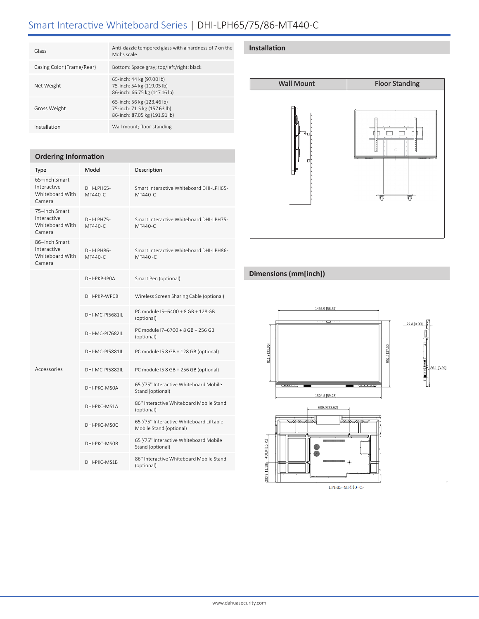# Smart Interactive Whiteboard Series | DHI-LPH65/75/86-MT440-C

| Glass                     | Anti-dazzle tempered glass with a hardness of 7 on the<br>Mohs scale                        |
|---------------------------|---------------------------------------------------------------------------------------------|
| Casing Color (Frame/Rear) | Bottom: Space gray; top/left/right: black                                                   |
| Net Weight                | 65-inch: 44 kg (97.00 lb)<br>75-inch: 54 kg (119.05 lb)<br>86-inch: 66.75 kg (147.16 lb)    |
| Gross Weight              | 65-inch: 56 kg (123.46 lb)<br>75-inch: 71.5 kg (157.63 lb)<br>86-inch: 87.05 kg (191.91 lb) |
| Installation              | Wall mount; floor-standing                                                                  |
|                           |                                                                                             |

#### **Ordering Information**

| Type                                                      | Model                  | Description                                                        |
|-----------------------------------------------------------|------------------------|--------------------------------------------------------------------|
| 65-inch Smart<br>Interactive<br>Whiteboard With<br>Camera | DHI-I PH65-<br>MT440-C | Smart Interactive Whiteboard DHI-LPH65-<br>MT440-C                 |
| 75-inch Smart<br>Interactive<br>Whiteboard With<br>Camera | DHI-LPH75-<br>MT440-C  | Smart Interactive Whiteboard DHI-LPH75-<br>MT440-C                 |
| 86-inch Smart<br>Interactive<br>Whiteboard With<br>Camera | DHI-LPH86-<br>MT440-C  | Smart Interactive Whiteboard DHI-LPH86-<br>MT440-C                 |
| Accessories                                               | DHI-PKP-IPOA           | Smart Pen (optional)                                               |
|                                                           | DHI-PKP-WPOB           | Wireless Screen Sharing Cable (optional)                           |
|                                                           | DHI-MC-PI5681IL        | PC module I5-6400 + 8 GB + 128 GB<br>(optional)                    |
|                                                           | DHI-MC-PI7682II        | PC module I7-6700 + 8 GB + 256 GB<br>(optional)                    |
|                                                           | DHI-MC-PI5881IL        | PC module I5 8 GB + 128 GB (optional)                              |
|                                                           | DHI-MC-PI5882IL        | PC module I5 8 GB + 256 GB (optional)                              |
|                                                           | DHI-PKC-MSOA           | 65"/75" Interactive Whiteboard Mobile<br>Stand (optional)          |
|                                                           | DHI-PKC-MS1A           | 86" Interactive Whiteboard Mobile Stand<br>(optional)              |
|                                                           | DHI-PKC-MSOC           | 65"/75" Interactive Whiteboard Liftable<br>Mobile Stand (optional) |
|                                                           | DHI-PKC-MSOB           | 65"/75" Interactive Whiteboard Mobile<br>Stand (optional)          |
|                                                           | DHI-PKC-MS1B           | 86" Interactive Whiteboard Mobile Stand<br>(optional)              |

#### **Installation**



## **Dimensions (mm[inch])**